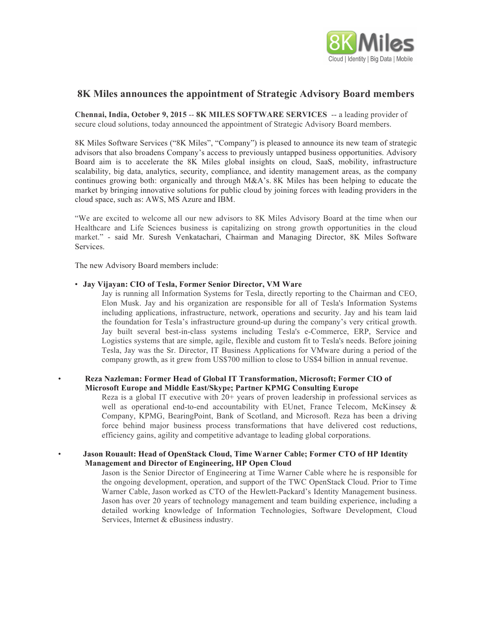

# **8K Miles announces the appointment of Strategic Advisory Board members**

**Chennai, India, October 9, 2015** -- **8K MILES SOFTWARE SERVICES** -- a leading provider of secure cloud solutions, today announced the appointment of Strategic Advisory Board members.

8K Miles Software Services ("8K Miles", "Company") is pleased to announce its new team of strategic advisors that also broadens Company's access to previously untapped business opportunities. Advisory Board aim is to accelerate the 8K Miles global insights on cloud, SaaS, mobility, infrastructure scalability, big data, analytics, security, compliance, and identity management areas, as the company continues growing both: organically and through M&A's. 8K Miles has been helping to educate the market by bringing innovative solutions for public cloud by joining forces with leading providers in the cloud space, such as: AWS, MS Azure and IBM.

"We are excited to welcome all our new advisors to 8K Miles Advisory Board at the time when our Healthcare and Life Sciences business is capitalizing on strong growth opportunities in the cloud market." - said Mr. Suresh Venkatachari, Chairman and Managing Director, 8K Miles Software Services.

The new Advisory Board members include:

#### • **Jay Vijayan: CIO of Tesla, Former Senior Director, VM Ware**

Jay is running all Information Systems for Tesla, directly reporting to the Chairman and CEO, Elon Musk. Jay and his organization are responsible for all of Tesla's Information Systems including applications, infrastructure, network, operations and security. Jay and his team laid the foundation for Tesla's infrastructure ground-up during the company's very critical growth. Jay built several best-in-class systems including Tesla's e-Commerce, ERP, Service and Logistics systems that are simple, agile, flexible and custom fit to Tesla's needs. Before joining Tesla, Jay was the Sr. Director, IT Business Applications for VMware during a period of the company growth, as it grew from US\$700 million to close to US\$4 billion in annual revenue.

### • **Reza Nazleman: Former Head of Global IT Transformation, Microsoft; Former CIO of Microsoft Europe and Middle East/Skype; Partner KPMG Consulting Europe**

Reza is a global IT executive with 20+ years of proven leadership in professional services as well as operational end-to-end accountability with EUnet, France Telecom, McKinsey & Company, KPMG, BearingPoint, Bank of Scotland, and Microsoft. Reza has been a driving force behind major business process transformations that have delivered cost reductions, efficiency gains, agility and competitive advantage to leading global corporations.

## • **Jason Rouault: Head of OpenStack Cloud, Time Warner Cable; Former CTO of HP Identity Management and Director of Engineering, HP Open Cloud**

Jason is the Senior Director of Engineering at Time Warner Cable where he is responsible for the ongoing development, operation, and support of the TWC OpenStack Cloud. Prior to Time Warner Cable, Jason worked as CTO of the Hewlett-Packard's Identity Management business. Jason has over 20 years of technology management and team building experience, including a detailed working knowledge of Information Technologies, Software Development, Cloud Services, Internet & eBusiness industry.